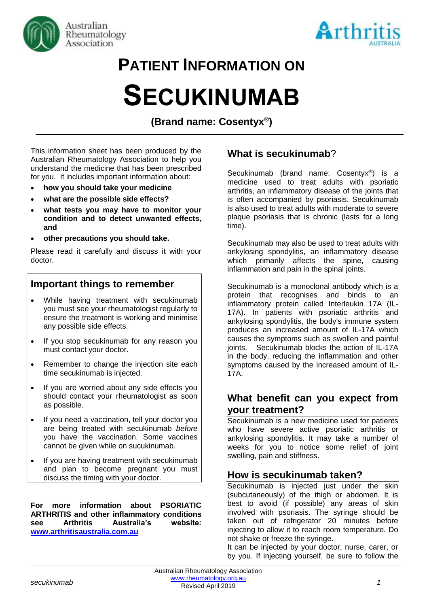



# **PATIENT INFORMATION ON SECUKINUMAB**

**(Brand name: Cosentyx® )**

This information sheet has been produced by the Australian Rheumatology Association to help you understand the medicine that has been prescribed for you. It includes important information about:

- **how you should take your medicine**
- **what are the possible side effects?**
- **what tests you may have to monitor your condition and to detect unwanted effects, and**
- **other precautions you should take.**

Please read it carefully and discuss it with your doctor.

## **Important things to remember**

- While having treatment with secukinumab you must see your rheumatologist regularly to ensure the treatment is working and minimise any possible side effects.
- If you stop secukinumab for any reason you must contact your doctor.
- Remember to change the injection site each time secukinumab is injected.
- If you are worried about any side effects you should contact your rheumatologist as soon as possible.
- If you need a vaccination, tell your doctor you are being treated with secukinumab *before* you have the vaccination. Some vaccines cannot be given while on sucukinumab.
- If you are having treatment with secukinumab and plan to become pregnant you must discuss the timing with your doctor.

**For more information about PSORIATIC ARTHRITIS and other inflammatory conditions see Arthritis Australia's website: [www.arthritisaustralia.com.au](http://www.arthritisaustralia.com.au/)**

# **What is secukinumab**?

Secukinumab (brand name: Cosentyx®) is a medicine used to treat adults with psoriatic arthritis, an inflammatory disease of the joints that is often accompanied by psoriasis. Secukinumab is also used to treat adults with moderate to severe plaque psoriasis that is chronic (lasts for a long time).

Secukinumab may also be used to treat adults with ankylosing spondylitis, an inflammatory disease which primarily affects the spine, causing inflammation and pain in the spinal joints.

Secukinumab is a monoclonal antibody which is a protein that recognises and binds to an inflammatory protein called Interleukin 17A (IL-17A). In patients with psoriatic arthritis and ankylosing spondylitis, the body's immune system produces an increased amount of IL-17A which causes the symptoms such as swollen and painful joints. Secukinumab blocks the action of IL-17A in the body, reducing the inflammation and other symptoms caused by the increased amount of IL-17A.

## **What benefit can you expect from your treatment?**

Secukinumab is a new medicine used for patients who have severe active psoriatic arthritis or ankylosing spondylitis. It may take a number of weeks for you to notice some relief of joint swelling, pain and stiffness.

## **How is secukinumab taken?**

Secukinumab is injected just under the skin (subcutaneously) of the thigh or abdomen. It is best to avoid (if possible) any areas of skin involved with psoriasis. The syringe should be taken out of refrigerator 20 minutes before injecting to allow it to reach room temperature. Do not shake or freeze the syringe.

It can be injected by your doctor, nurse, carer, or by you. If injecting yourself, be sure to follow the

*secukinumab 1* Australian Rheumatology Association [www.rheumatology.org.au](http://www.rheumatology.org.au/) Revised April 2019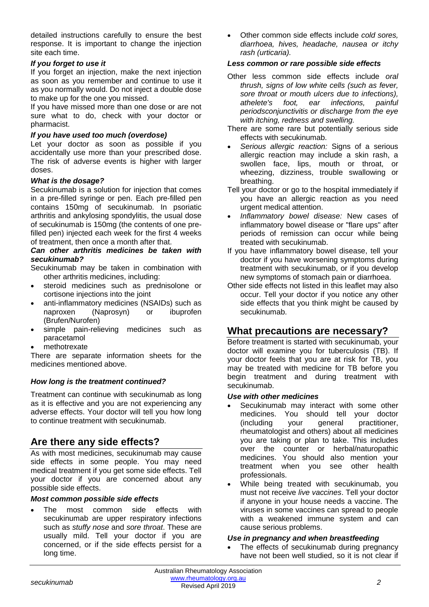detailed instructions carefully to ensure the best response. It is important to change the injection site each time.

#### *If you forget to use it*

If you forget an injection, make the next injection as soon as you remember and continue to use it as you normally would. Do not inject a double dose to make up for the one you missed.

If you have missed more than one dose or are not sure what to do, check with your doctor or pharmacist.

#### *If you have used too much (overdose)*

Let your doctor as soon as possible if you accidentally use more than your prescribed dose. The risk of adverse events is higher with larger doses.

#### *What is the dosage?*

Secukinumab is a solution for injection that comes in a pre-filled syringe or pen. Each pre-filled pen contains 150mg of secukinumab. In psoriatic arthritis and ankylosing spondylitis, the usual dose of secukinumab is 150mg (the contents of one prefilled pen) injected each week for the first 4 weeks of treatment, then once a month after that.

#### *Can other arthritis medicines be taken with secukinumab?*

Secukinumab may be taken in combination with other arthritis medicines, including:

- steroid medicines such as prednisolone or cortisone injections into the joint
- anti-inflammatory medicines (NSAIDs) such as naproxen (Naprosyn) or ibuprofen (Brufen/Nurofen)
- simple pain-relieving medicines such as paracetamol
- methotrexate

There are separate information sheets for the medicines mentioned above.

## *How long is the treatment continued?*

Treatment can continue with secukinumab as long as it is effective and you are not experiencing any adverse effects. Your doctor will tell you how long to continue treatment with secukinumab.

# **Are there any side effects?**

As with most medicines, secukinumab may cause side effects in some people. You may need medical treatment if you get some side effects. Tell your doctor if you are concerned about any possible side effects.

## *Most common possible side effects*

The most common side effects with secukinumab are upper respiratory infections such as *stuffy nose* and *sore throat*. These are usually mild. Tell your doctor if you are concerned, or if the side effects persist for a long time.

• Other common side effects include *cold sores, diarrhoea, hives, headache, nausea or itchy rash (urticaria).*

#### *Less common or rare possible side effects*

- Other less common side effects include *oral thrush, signs of low white cells (such as fever, sore throat or mouth ulcers due to infections), athelete's foot, ear infections, painful periodsconjunctivitis or discharge from the eye with itching, redness and swelling.*
- There are some rare but potentially serious side effects with secukinumab.
- *Serious allergic reaction:* Signs of a serious allergic reaction may include a skin rash, a swollen face, lips, mouth or throat, or wheezing, dizziness, trouble swallowing or breathing.
- Tell your doctor or go to the hospital immediately if you have an allergic reaction as you need urgent medical attention.
- *Inflammatory bowel disease:* New cases of inflammatory bowel disease or "flare ups" after periods of remission can occur while being treated with secukinumab.
- If you have inflammatory bowel disease, tell your doctor if you have worsening symptoms during treatment with secukinumab, or if you develop new symptoms of stomach pain or diarrhoea.
- Other side effects not listed in this leaflet may also occur. Tell your doctor if you notice any other side effects that you think might be caused by secukinumab.

## **What precautions are necessary?**

Before treatment is started with secukinumab, your doctor will examine you for tuberculosis (TB). If your doctor feels that you are at risk for TB, you may be treated with medicine for TB before you begin treatment and during treatment with secukinumab.

#### *Use with other medicines*

- Secukinumab may interact with some other medicines. You should tell your doctor (including your general practitioner, rheumatologist and others) about all medicines you are taking or plan to take. This includes over the counter or herbal/naturopathic medicines. You should also mention your treatment when you see other health professionals.
- While being treated with secukinumab, you must not receive *live vaccines*. Tell your doctor if anyone in your house needs a vaccine. The viruses in some vaccines can spread to people with a weakened immune system and can cause serious problems.

#### *Use in pregnancy and when breastfeeding*

The effects of secukinumab during pregnancy have not been well studied, so it is not clear if